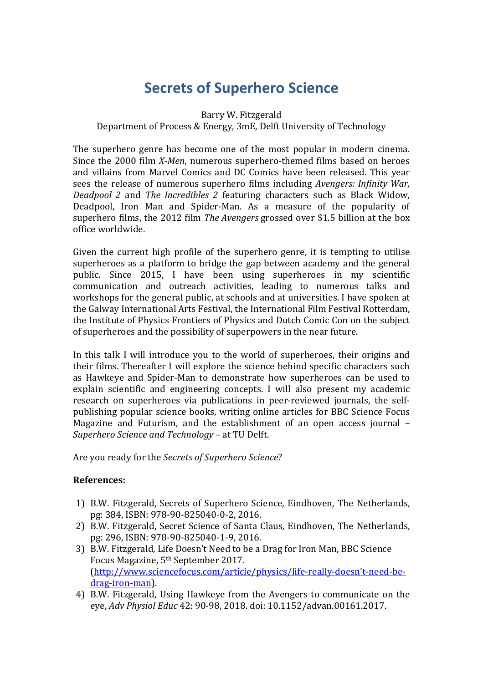# **Secrets of Superhero Science**

#### Barry W. Fitzgerald

### Department of Process & Energy, 3mE, Delft University of Technology

The superhero genre has become one of the most popular in modern cinema. Since the 2000 film *X-Men*, numerous superhero-themed films based on heroes and villains from Marvel Comics and DC Comics have been released. This year sees the release of numerous superhero films including *Avengers: Infinity War, Deadpool 2* and *The Incredibles 2* featuring characters such as Black Widow, Deadpool, Iron Man and Spider-Man. As a measure of the popularity of superhero films, the 2012 film *The Avengers* grossed over \$1.5 billion at the box office worldwide.

Given the current high profile of the superhero genre, it is tempting to utilise superheroes as a platform to bridge the gap between academy and the general public. Since 2015, I have been using superheroes in my scientific communication and outreach activities, leading to numerous talks and workshops for the general public, at schools and at universities. I have spoken at the Galway International Arts Festival, the International Film Festival Rotterdam, the Institute of Physics Frontiers of Physics and Dutch Comic Con on the subject of superheroes and the possibility of superpowers in the near future.

In this talk I will introduce you to the world of superheroes, their origins and their films. Thereafter I will explore the science behind specific characters such as Hawkeye and Spider-Man to demonstrate how superheroes can be used to explain scientific and engineering concepts. I will also present my academic research on superheroes via publications in peer-reviewed journals, the selfpublishing popular science books, writing online articles for BBC Science Focus Magazine and Futurism, and the establishment of an open access journal – *Superhero Science and Technology* – at TU Delft.

Are you ready for the *Secrets of Superhero Science*?

### **References:**

- 1) B.W. Fitzgerald, Secrets of Superhero Science*,* Eindhoven, The Netherlands, pg: 384, ISBN: 978-90-825040-0-2, 2016.
- 2) B.W. Fitzgerald, Secret Science of Santa Claus*,* Eindhoven, The Netherlands, pg: 296, ISBN: 978-90-825040-1-9, 2016.
- 3) B.W. Fitzgerald, Life Doesn't Need to be a Drag for Iron Man, BBC Science Focus Magazine, 5th September 2017. [\(http://www.sciencefocus.com/article/physics/life-really-doesn't-need-be](http://www.sciencefocus.com/article/physics/life-really-doesn)[drag-iron-man\)](http://www.sciencefocus.com/article/physics/life-really-doesn).
- 4) B.W. Fitzgerald, Using Hawkeye from the Avengers to communicate on the eye, *Adv Physiol Educ* 42: 90-98, 2018. doi: 10.1152/advan.00161.2017.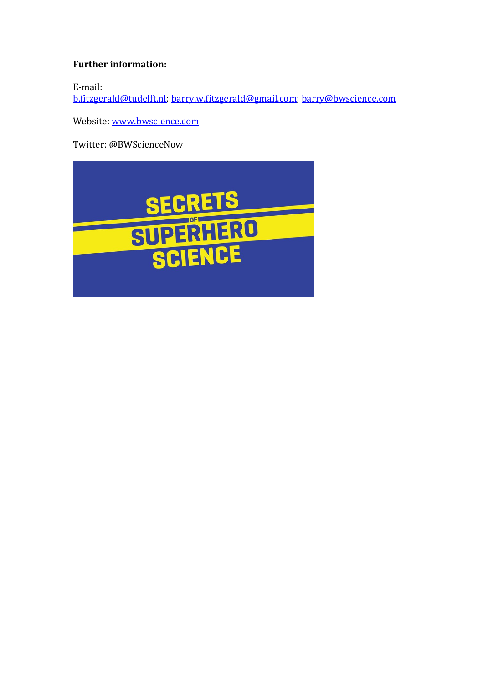## **Further information:**

E-mail:

[b.fitzgerald@tudelft.nl;](mailto:b.fitzgerald@tudelft.nl) [barry.w.fitzgerald@gmail.com;](mailto:barry.w.fitzgerald@gmail.com) [barry@bwscience.com](mailto:barry@bwscience.com)

Website[: www.bwscience.com](http://www.bwscience.com/)

Twitter: @BWScienceNow